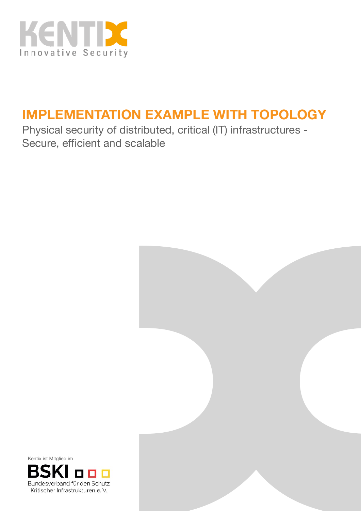

# **IMPLEMENTATION EXAMPLE WITH TOPOLOGY**

Physical security of distributed, critical (IT) infrastructures - Secure, efficient and scalable



Kentix ist Mitglied im

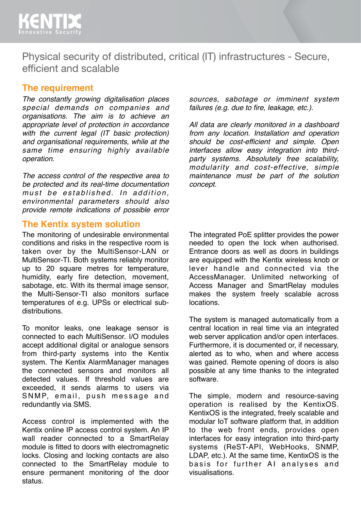

Physical security of distributed, critical (IT) infrastructures - Secure, efficient and scalable

#### **The requirement**

*The constantly growing digitalisation places special demands on companies and organisations. The aim is to achieve an appropriate level of protection in accordance with the current legal (IT basic protection) and organisational requirements, while at the same time ensuring highly available operation.* 

*The access control of the respective area to be protected and its real-time documentation*  must be established. In addition, *environmental parameters should also provide remote indications of possible error* 

#### **The Kentix system solution**

The monitoring of undesirable environmental conditions and risks in the respective room is taken over by the MultiSensor-LAN or MultiSensor-TI. Both systems reliably monitor up to 20 square metres for temperature, humidity, early fire detection, movement, sabotage, etc. With its thermal image sensor, the Multi-Sensor-TI also monitors surface temperatures of e.g. UPSs or electrical subdistributions.

To monitor leaks, one leakage sensor is connected to each MultiSensor. I/O modules accept additional digital or analogue sensors from third-party systems into the Kentix system. The Kentix AlarmManager manages the connected sensors and monitors all detected values. If threshold values are exceeded, it sends alarms to users via SNMP, email, push message and redundantly via SMS.

Access control is implemented with the Kentix online IP access control system. An IP wall reader connected to a SmartRelay module is fitted to doors with electromagnetic locks. Closing and locking contacts are also connected to the SmartRelay module to ensure permanent monitoring of the door status.

*sources, sabotage or imminent system failures (e.g. due to fire, leakage, etc.).*

*All data are clearly monitored in a dashboard from any location. Installation and operation should be cost-efficient and simple. Open interfaces allow easy integration into thirdparty systems. Absolutely free scalability, modularity and cost-effective, simple maintenance must be part of the solution concept.*

The integrated PoE splitter provides the power needed to open the lock when authorised. Entrance doors as well as doors in buildings are equipped with the Kentix wireless knob or lever handle and connected via the AccessManager. Unlimited networking of Access Manager and SmartRelay modules makes the system freely scalable across locations.

The system is managed automatically from a central location in real time via an integrated web server application and/or open interfaces. Furthermore, it is documented or, if necessary, alerted as to who, when and where access was gained. Remote opening of doors is also possible at any time thanks to the integrated software.

The simple, modern and resource-saving operation is realised by the KentixOS. KentixOS is the integrated, freely scalable and modular IoT software platform that, in addition to the web front ends, provides open interfaces for easy integration into third-party systems (ReST-API, WebHooks, SNMP, LDAP, etc.). At the same time, KentixOS is the basis for further AI analyses and visualisations.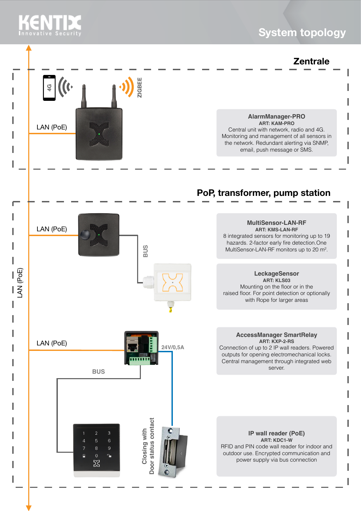# **KENTIL**

### **System topology**